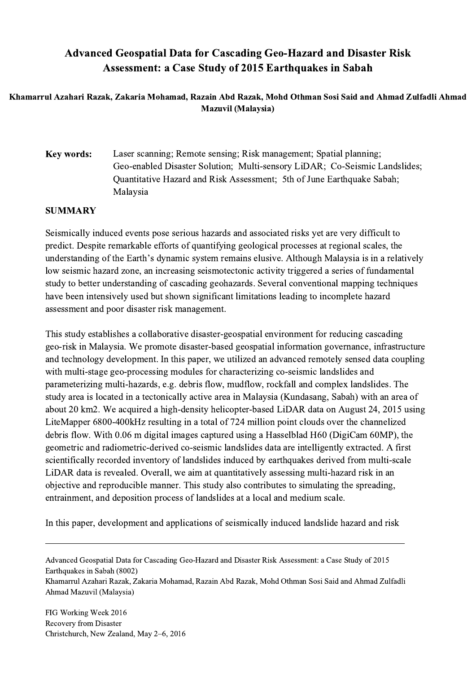## Advanced Geospatial Data for Cascading Geo-Hazard and Disaster Risk Assessment: a Case Study of 2015 Earthquakes in Sabah

## Khamarrul Azahari Razak, Zakaria Mohamad, Razain Abd Razak, Mohd Othman Sosi Said and Ahmad Zulfadli Ahmad Mazuvil (Malaysia)

Key words: Laser scanning; Remote sensing; Risk management; Spatial planning; Geo-enabled Disaster Solution; Multi-sensory LiDAR; Co-Seismic Landslides; Quantitative Hazard and Risk Assessment; 5th of June Earthquake Sabah; Malaysia

## SUMMARY

Seismically induced events pose serious hazards and associated risks yet are very difficult to predict. Despite remarkable efforts of quantifying geological processes at regional scales, the understanding of the Earth's dynamic system remains elusive. Although Malaysia is in a relatively low seismic hazard zone, an increasing seismotectonic activity triggered a series of fundamental study to better understanding of cascading geohazards. Several conventional mapping techniques have been intensively used but shown significant limitations leading to incomplete hazard assessment and poor disaster risk management.

This study establishes a collaborative disaster-geospatial environment for reducing cascading geo-risk in Malaysia. We promote disaster-based geospatial information governance, infrastructure and technology development. In this paper, we utilized an advanced remotely sensed data coupling with multi-stage geo-processing modules for characterizing co-seismic landslides and parameterizing multi-hazards, e.g. debris flow, mudflow, rockfall and complex landslides. The study area is located in a tectonically active area in Malaysia (Kundasang, Sabah) with an area of about 20 km2. We acquired a high-density helicopter-based LiDAR data on August 24, 2015 using LiteMapper 6800-400kHz resulting in a total of 724 million point clouds over the channelized debris flow. With 0.06 m digital images captured using a Hasselblad H60 (DigiCam 60MP), the geometric and radiometric-derived co-seismic landslides data are intelligently extracted. A first scientifically recorded inventory of landslides induced by earthquakes derived from multi-scale LiDAR data is revealed. Overall, we aim at quantitatively assessing multi-hazard risk in an objective and reproducible manner. This study also contributes to simulating the spreading, entrainment, and deposition process of landslides at a local and medium scale.

In this paper, development and applications of seismically induced landslide hazard and risk

 $\mathcal{L}_\mathcal{L} = \{ \mathcal{L}_\mathcal{L} = \{ \mathcal{L}_\mathcal{L} = \{ \mathcal{L}_\mathcal{L} = \{ \mathcal{L}_\mathcal{L} = \{ \mathcal{L}_\mathcal{L} = \{ \mathcal{L}_\mathcal{L} = \{ \mathcal{L}_\mathcal{L} = \{ \mathcal{L}_\mathcal{L} = \{ \mathcal{L}_\mathcal{L} = \{ \mathcal{L}_\mathcal{L} = \{ \mathcal{L}_\mathcal{L} = \{ \mathcal{L}_\mathcal{L} = \{ \mathcal{L}_\mathcal{L} = \{ \mathcal{L}_\mathcal{$ 

Advanced Geospatial Data for Cascading Geo-Hazard and Disaster Risk Assessment: a Case Study of 2015 Earthquakes in Sabah (8002) Khamarrul Azahari Razak, Zakaria Mohamad, Razain Abd Razak, Mohd Othman Sosi Said and Ahmad Zulfadli Ahmad Mazuvil (Malaysia)

FIG Working Week 2016 Recovery from Disaster Christchurch, New Zealand, May 2–6, 2016